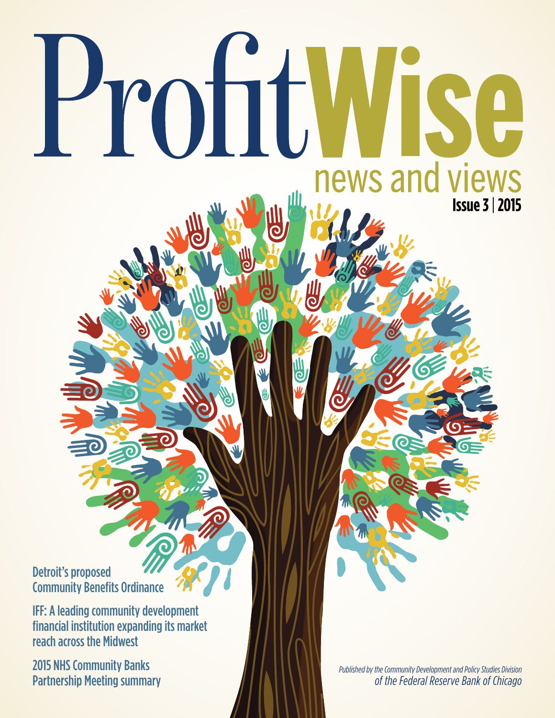### Detroit's proposed Community Benefits Ordinance

IFF: A leading community development financial institution expanding its market reach across the Midwest

Profit

2015 NHS Community Banks Partnership Meeting summary **Issue 3** | **2015**

WISE

news and views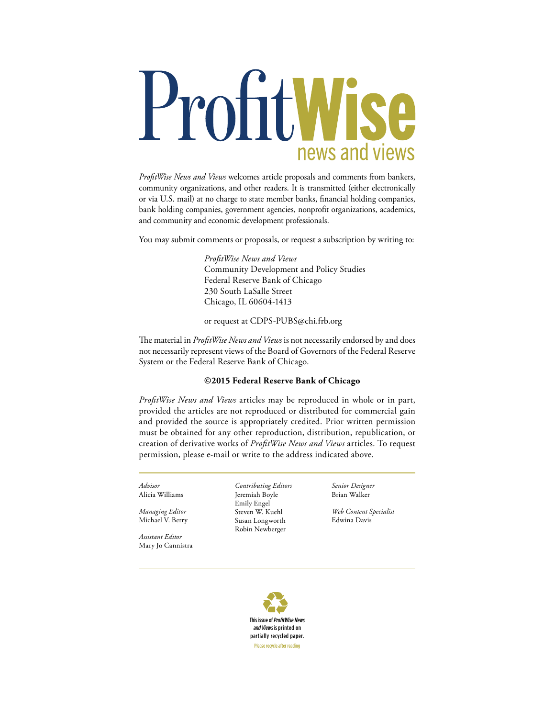# ProfitWise news and views

*ProfitWise News and Views* welcomes article proposals and comments from bankers, community organizations, and other readers. It is transmitted (either electronically or via U.S. mail) at no charge to state member banks, financial holding companies, bank holding companies, government agencies, nonprofit organizations, academics, and community and economic development professionals.

You may submit comments or proposals, or request a subscription by writing to:

 *ProfitWise News and Views* Community Development and Policy Studies Federal Reserve Bank of Chicago 230 South LaSalle Street Chicago, IL 60604-1413

#### or request at CDPS-PUBS@chi.frb.org

The material in *ProfitWise News and Views* is not necessarily endorsed by and does not necessarily represent views of the Board of Governors of the Federal Reserve System or the Federal Reserve Bank of Chicago.

#### **©2015 Federal Reserve Bank of Chicago**

*ProfitWise News and Views* articles may be reproduced in whole or in part, provided the articles are not reproduced or distributed for commercial gain and provided the source is appropriately credited. Prior written permission must be obtained for any other reproduction, distribution, republication, or creation of derivative works of *ProfitWise News and Views* articles. To request permission, please e-mail or write to the address indicated above.

*Advisor* Alicia Williams

*Managing Editor* Michael V. Berry

*Assistant Editor* Mary Jo Cannistra *Contributing Editors* Jeremiah Boyle Emily Engel Steven W. Kuehl Susan Longworth Robin Newberger

*Senior Designer* Brian Walker

*Web Content Specialist* Edwina Davis

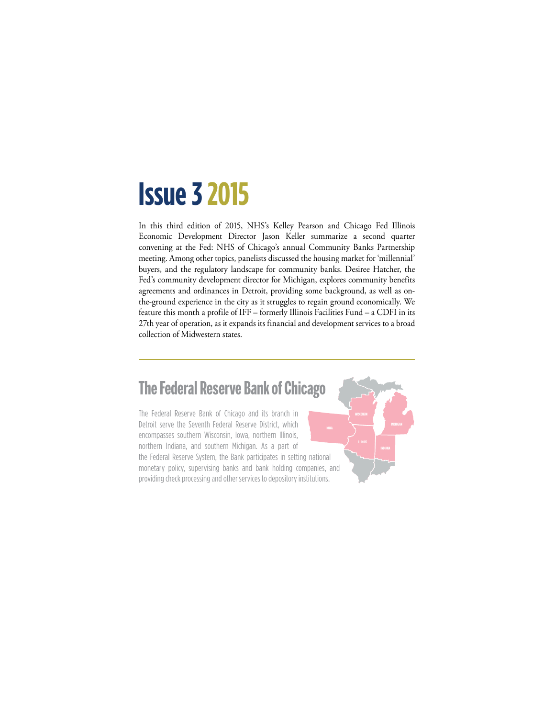## **Issue 3 2015**

In this third edition of 2015, NHS's Kelley Pearson and Chicago Fed Illinois Economic Development Director Jason Keller summarize a second quarter convening at the Fed: NHS of Chicago's annual Community Banks Partnership meeting. Among other topics, panelists discussed the housing market for 'millennial' buyers, and the regulatory landscape for community banks. Desiree Hatcher, the Fed's community development director for Michigan, explores community benefits agreements and ordinances in Detroit, providing some background, as well as onthe-ground experience in the city as it struggles to regain ground economically. We feature this month a profile of IFF – formerly Illinois Facilities Fund – a CDFI in its 27th year of operation, as it expands its financial and development services to a broad collection of Midwestern states.

## **The Federal Reserve Bank of Chicago**

The Federal Reserve Bank of Chicago and its branch in Detroit serve the Seventh Federal Reserve District, which encompasses southern Wisconsin, Iowa, northern Illinois, northern Indiana, and southern Michigan. As a part of the Federal Reserve System, the Bank participates in setting national monetary policy, supervising banks and bank holding companies, and providing check processing and other services to depository institutions.

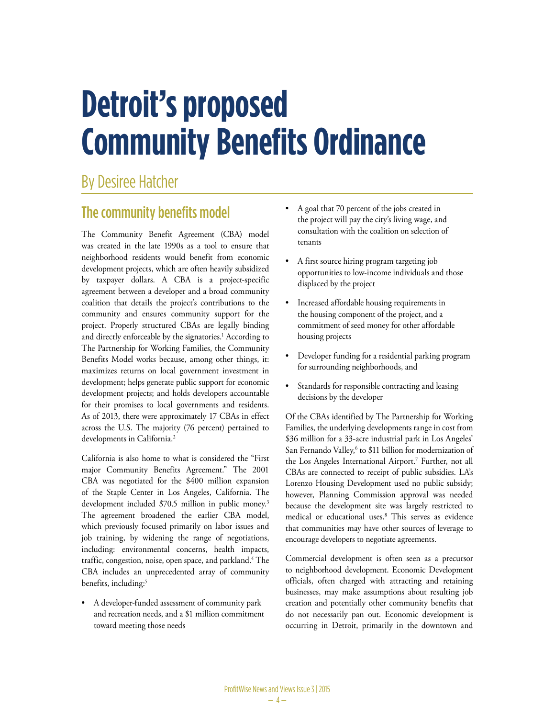# **Detroit's proposed Community Benefits Ordinance**

## By Desiree Hatcher

### The community benefits model

The Community Benefit Agreement (CBA) model was created in the late 1990s as a tool to ensure that neighborhood residents would benefit from economic development projects, which are often heavily subsidized by taxpayer dollars. A CBA is a project-specific agreement between a developer and a broad community coalition that details the project's contributions to the community and ensures community support for the project. Properly structured CBAs are legally binding and directly enforceable by the signatories.<sup>1</sup> According to The Partnership for Working Families, the Community Benefits Model works because, among other things, it: maximizes returns on local government investment in development; helps generate public support for economic development projects; and holds developers accountable for their promises to local governments and residents. As of 2013, there were approximately 17 CBAs in effect across the U.S. The majority (76 percent) pertained to developments in California.<sup>2</sup>

California is also home to what is considered the "First major Community Benefits Agreement." The 2001 CBA was negotiated for the \$400 million expansion of the Staple Center in Los Angeles, California. The development included \$70.5 million in public money.<sup>3</sup> The agreement broadened the earlier CBA model, which previously focused primarily on labor issues and job training, by widening the range of negotiations, including: environmental concerns, health impacts, traffic, congestion, noise, open space, and parkland.<sup>4</sup> The CBA includes an unprecedented array of community benefits, including:<sup>5</sup>

A developer-funded assessment of community park and recreation needs, and a \$1 million commitment toward meeting those needs

- A goal that 70 percent of the jobs created in the project will pay the city's living wage, and consultation with the coalition on selection of tenants
- A first source hiring program targeting job opportunities to low-income individuals and those displaced by the project
- • Increased affordable housing requirements in the housing component of the project, and a commitment of seed money for other affordable housing projects
- Developer funding for a residential parking program for surrounding neighborhoods, and
- Standards for responsible contracting and leasing decisions by the developer

Of the CBAs identified by The Partnership for Working Families, the underlying developments range in cost from \$36 million for a 33-acre industrial park in Los Angeles' San Fernando Valley,<sup>6</sup> to \$11 billion for modernization of the Los Angeles International Airport.7 Further, not all CBAs are connected to receipt of public subsidies. LA's Lorenzo Housing Development used no public subsidy; however, Planning Commission approval was needed because the development site was largely restricted to medical or educational uses.8 This serves as evidence that communities may have other sources of leverage to encourage developers to negotiate agreements.

Commercial development is often seen as a precursor to neighborhood development. Economic Development officials, often charged with attracting and retaining businesses, may make assumptions about resulting job creation and potentially other community benefits that do not necessarily pan out. Economic development is occurring in Detroit, primarily in the downtown and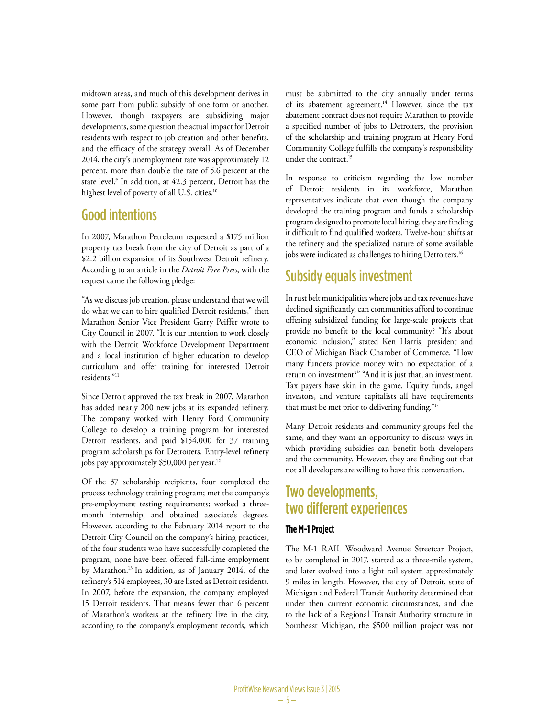midtown areas, and much of this development derives in some part from public subsidy of one form or another. However, though taxpayers are subsidizing major developments, some question the actual impact for Detroit residents with respect to job creation and other benefits, and the efficacy of the strategy overall. As of December 2014, the city's unemployment rate was approximately 12 percent, more than double the rate of 5.6 percent at the state level.9 In addition, at 42.3 percent, Detroit has the highest level of poverty of all U.S. cities.<sup>10</sup>

#### Good intentions

In 2007, Marathon Petroleum requested a \$175 million property tax break from the city of Detroit as part of a \$2.2 billion expansion of its Southwest Detroit refinery. According to an article in the *Detroit Free Press*, with the request came the following pledge:

"As we discuss job creation, please understand that we will do what we can to hire qualified Detroit residents," then Marathon Senior Vice President Garry Peiffer wrote to City Council in 2007. "It is our intention to work closely with the Detroit Workforce Development Department and a local institution of higher education to develop curriculum and offer training for interested Detroit residents."11

Since Detroit approved the tax break in 2007, Marathon has added nearly 200 new jobs at its expanded refinery. The company worked with Henry Ford Community College to develop a training program for interested Detroit residents, and paid \$154,000 for 37 training program scholarships for Detroiters. Entry-level refinery jobs pay approximately \$50,000 per year.<sup>12</sup>

Of the 37 scholarship recipients, four completed the process technology training program; met the company's pre-employment testing requirements; worked a threemonth internship; and obtained associate's degrees. However, according to the February 2014 report to the Detroit City Council on the company's hiring practices, of the four students who have successfully completed the program, none have been offered full-time employment by Marathon.13 In addition, as of January 2014, of the refinery's 514 employees, 30 are listed as Detroit residents. In 2007, before the expansion, the company employed 15 Detroit residents. That means fewer than 6 percent of Marathon's workers at the refinery live in the city, according to the company's employment records, which must be submitted to the city annually under terms of its abatement agreement.<sup>14</sup> However, since the tax abatement contract does not require Marathon to provide a specified number of jobs to Detroiters, the provision of the scholarship and training program at Henry Ford Community College fulfills the company's responsibility under the contract.15

In response to criticism regarding the low number of Detroit residents in its workforce, Marathon representatives indicate that even though the company developed the training program and funds a scholarship program designed to promote local hiring, they are finding it difficult to find qualified workers. Twelve-hour shifts at the refinery and the specialized nature of some available jobs were indicated as challenges to hiring Detroiters.<sup>16</sup>

### Subsidy equals investment

In rust belt municipalities where jobs and tax revenues have declined significantly, can communities afford to continue offering subsidized funding for large-scale projects that provide no benefit to the local community? "It's about economic inclusion," stated Ken Harris, president and CEO of Michigan Black Chamber of Commerce. "How many funders provide money with no expectation of a return on investment?" "And it is just that, an investment. Tax payers have skin in the game. Equity funds, angel investors, and venture capitalists all have requirements that must be met prior to delivering funding."17

Many Detroit residents and community groups feel the same, and they want an opportunity to discuss ways in which providing subsidies can benefit both developers and the community. However, they are finding out that not all developers are willing to have this conversation.

### Two developments, two different experiences

#### **The M-1 Project**

The M-1 RAIL Woodward Avenue Streetcar Project, to be completed in 2017, started as a three-mile system, and later evolved into a light rail system approximately 9 miles in length. However, the city of Detroit, state of Michigan and Federal Transit Authority determined that under then current economic circumstances, and due to the lack of a Regional Transit Authority structure in Southeast Michigan, the \$500 million project was not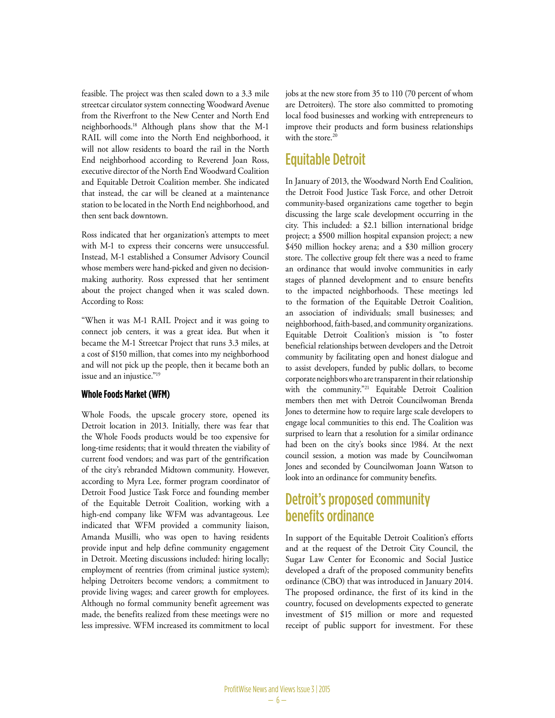feasible. The project was then scaled down to a 3.3 mile streetcar circulator system connecting Woodward Avenue from the Riverfront to the New Center and North End neighborhoods.18 Although plans show that the M-1 RAIL will come into the North End neighborhood, it will not allow residents to board the rail in the North End neighborhood according to Reverend Joan Ross, executive director of the North End Woodward Coalition and Equitable Detroit Coalition member. She indicated that instead, the car will be cleaned at a maintenance station to be located in the North End neighborhood, and then sent back downtown.

Ross indicated that her organization's attempts to meet with M-1 to express their concerns were unsuccessful. Instead, M-1 established a Consumer Advisory Council whose members were hand-picked and given no decisionmaking authority. Ross expressed that her sentiment about the project changed when it was scaled down. According to Ross:

"When it was M-1 RAIL Project and it was going to connect job centers, it was a great idea. But when it became the M-1 Streetcar Project that runs 3.3 miles, at a cost of \$150 million, that comes into my neighborhood and will not pick up the people, then it became both an issue and an injustice."19

#### **Whole Foods Market (WFM)**

Whole Foods, the upscale grocery store, opened its Detroit location in 2013. Initially, there was fear that the Whole Foods products would be too expensive for long-time residents; that it would threaten the viability of current food vendors; and was part of the gentrification of the city's rebranded Midtown community. However, according to Myra Lee, former program coordinator of Detroit Food Justice Task Force and founding member of the Equitable Detroit Coalition, working with a high-end company like WFM was advantageous. Lee indicated that WFM provided a community liaison, Amanda Musilli, who was open to having residents provide input and help define community engagement in Detroit. Meeting discussions included: hiring locally; employment of reentries (from criminal justice system); helping Detroiters become vendors; a commitment to provide living wages; and career growth for employees. Although no formal community benefit agreement was made, the benefits realized from these meetings were no less impressive. WFM increased its commitment to local jobs at the new store from 35 to 110 (70 percent of whom are Detroiters). The store also committed to promoting local food businesses and working with entrepreneurs to improve their products and form business relationships with the store  $20$ 

#### Equitable Detroit

In January of 2013, the Woodward North End Coalition, the Detroit Food Justice Task Force, and other Detroit community-based organizations came together to begin discussing the large scale development occurring in the city. This included: a \$2.1 billion international bridge project; a \$500 million hospital expansion project; a new \$450 million hockey arena; and a \$30 million grocery store. The collective group felt there was a need to frame an ordinance that would involve communities in early stages of planned development and to ensure benefits to the impacted neighborhoods. These meetings led to the formation of the Equitable Detroit Coalition, an association of individuals; small businesses; and neighborhood, faith-based, and community organizations. Equitable Detroit Coalition's mission is "to foster beneficial relationships between developers and the Detroit community by facilitating open and honest dialogue and to assist developers, funded by public dollars, to become corporate neighbors who are transparent in their relationship with the community."21 Equitable Detroit Coalition members then met with Detroit Councilwoman Brenda Jones to determine how to require large scale developers to engage local communities to this end. The Coalition was surprised to learn that a resolution for a similar ordinance had been on the city's books since 1984. At the next council session, a motion was made by Councilwoman Jones and seconded by Councilwoman Joann Watson to look into an ordinance for community benefits.

#### Detroit's proposed community benefits ordinance

In support of the Equitable Detroit Coalition's efforts and at the request of the Detroit City Council, the Sugar Law Center for Economic and Social Justice developed a draft of the proposed community benefits ordinance (CBO) that was introduced in January 2014. The proposed ordinance, the first of its kind in the country, focused on developments expected to generate investment of \$15 million or more and requested receipt of public support for investment. For these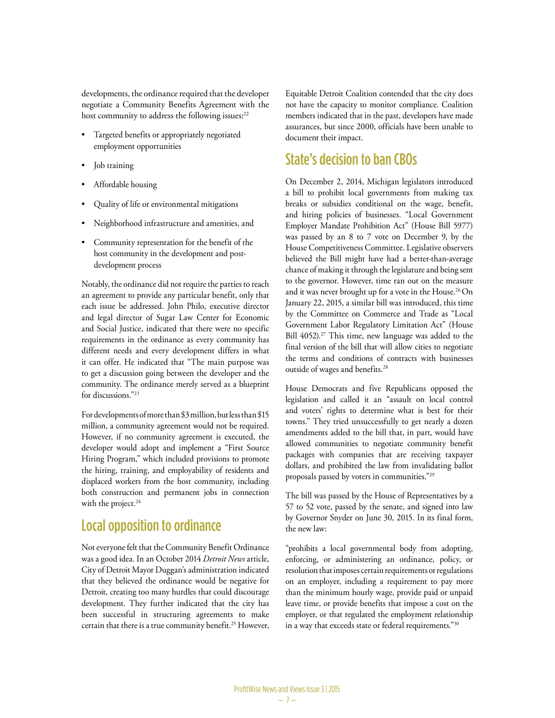developments, the ordinance required that the developer negotiate a Community Benefits Agreement with the host community to address the following issues:<sup>22</sup>

- Targeted benefits or appropriately negotiated employment opportunities
- Job training
- Affordable housing
- Quality of life or environmental mitigations
- Neighborhood infrastructure and amenities, and
- Community representation for the benefit of the host community in the development and postdevelopment process

Notably, the ordinance did not require the parties to reach an agreement to provide any particular benefit, only that each issue be addressed. John Philo, executive director and legal director of Sugar Law Center for Economic and Social Justice, indicated that there were no specific requirements in the ordinance as every community has different needs and every development differs in what it can offer. He indicated that "The main purpose was to get a discussion going between the developer and the community. The ordinance merely served as a blueprint for discussions."23

For developments of more than \$3 million, but less than \$15 million, a community agreement would not be required. However, if no community agreement is executed, the developer would adopt and implement a "First Source Hiring Program," which included provisions to promote the hiring, training, and employability of residents and displaced workers from the host community, including both construction and permanent jobs in connection with the project.<sup>24</sup>

## Local opposition to ordinance

Not everyone felt that the Community Benefit Ordinance was a good idea. In an October 2014 *Detroit News* article, City of Detroit Mayor Duggan's administration indicated that they believed the ordinance would be negative for Detroit, creating too many hurdles that could discourage development. They further indicated that the city has been successful in structuring agreements to make certain that there is a true community benefit.<sup>25</sup> However, Equitable Detroit Coalition contended that the city does not have the capacity to monitor compliance. Coalition members indicated that in the past, developers have made assurances, but since 2000, officials have been unable to document their impact.

#### State's decision to ban CBOs

On December 2, 2014, Michigan legislators introduced a bill to prohibit local governments from making tax breaks or subsidies conditional on the wage, benefit, and hiring policies of businesses. "Local Government Employer Mandate Prohibition Act" (House Bill 5977) was passed by an 8 to 7 vote on December 9, by the House Competitiveness Committee. Legislative observers believed the Bill might have had a better-than-average chance of making it through the legislature and being sent to the governor. However, time ran out on the measure and it was never brought up for a vote in the House.<sup>26</sup>On January 22, 2015, a similar bill was introduced, this time by the Committee on Commerce and Trade as "Local Government Labor Regulatory Limitation Act" (House Bill 4052).<sup>27</sup> This time, new language was added to the final version of the bill that will allow cities to negotiate the terms and conditions of contracts with businesses outside of wages and benefits.<sup>28</sup>

House Democrats and five Republicans opposed the legislation and called it an "assault on local control and voters' rights to determine what is best for their towns." They tried unsuccessfully to get nearly a dozen amendments added to the bill that, in part, would have allowed communities to negotiate community benefit packages with companies that are receiving taxpayer dollars, and prohibited the law from invalidating ballot proposals passed by voters in communities."29

The bill was passed by the House of Representatives by a 57 to 52 vote, passed by the senate, and signed into law by Governor Snyder on June 30, 2015. In its final form, the new law:

"prohibits a local governmental body from adopting, enforcing, or administering an ordinance, policy, or resolution that imposes certain requirements or regulations on an employer, including a requirement to pay more than the minimum hourly wage, provide paid or unpaid leave time, or provide benefits that impose a cost on the employer, or that regulated the employment relationship in a way that exceeds state or federal requirements."30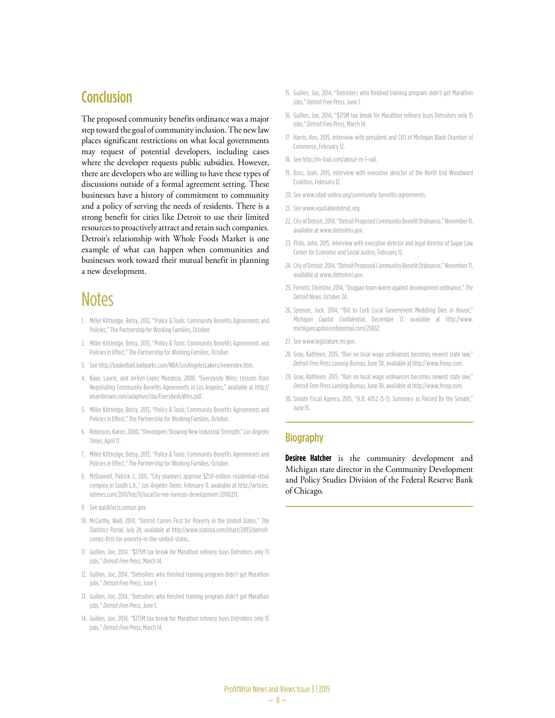#### **Conclusion**

The proposed community benefits ordinance was a major step toward the goal of community inclusion. The new law places significant restrictions on what local governments may request of potential developers, including cases where the developer requests public subsidies. However, there are developers who are willing to have these types of discussions outside of a formal agreement setting. These businesses have a history of commitment to community and a policy of serving the needs of residents. There is a strong benefit for cities like Detroit to use their limited resources to proactively attract and retain such companies. Detroit's relationship with Whole Foods Market is one example of what can happen when communities and businesses work toward their mutual benefit in planning a new development.

## **Notes**

- 1. Miller Kittredge, Betsy, 2012, "Policy & Tools: Community Benefits Agreements and Policies," The Partnership for Working Families, October.
- 2. Miller Kittredge, Betsy, 2013, "Policy & Tools: Community Benefits Agreements and Policies in Effect," The Partnership for Working Families, October.
- 3. See http://basketball.ballparks.com/NBA/LosAngelesLakers/newindex.htm.
- 4. Kaye, Laurie, and Jerilyn Lopez Mendoza, 2008, "Everybody Wins: Lessons from Negotiating Community Benefits Agreements in Los Angeles," available at http:// imanibrown.com/adaptive/cba/EverybodyWins.pdf.
- 5. Miller Kittredge, Betsy, 2013, "Policy & Tools: Community Benefits Agreements and Policies in Effect," The Partnership for Working Families, October.
- 6. Robinson, Karen, 2000, "Developers Showing New Industrial Strength," *Los Angeles Times*, April 11.
- 7. Miller Kittredge, Betsy, 2013, "Policy & Tools: Community Benefits Agreements and Policies in Effect," The Partnership for Working Families, October.
- 8. McDonnell, Patrick J., 2011, "City planners approve \$250-million residential-retail complex in South L.A.," *Los Angeles Times*, February 11, available at http://articles. latimes.com/2011/feb/11/local/la-me-lorenzo-development-20110211.
- 9. See quickfacts.census.gov.
- 10. McCarthy, Niall, 2014, "Detroit Comes First for Poverty in the United States," *The Statistics Portal*, July 24, available at http://www.statista.com/chart/2493/detroitcomes-first-for-poverty-in-the-united-states.
- 11. Guillen, Joe, 2014, "\$175M tax break for Marathon refinery buys Detroiters only 15 jobs," *Detroit Free Press*, March 14.
- 12. Guillen, Joe, 2014, "Detroiters who finished training program didn't get Marathon jobs," *Detroit Free Press*, June 1.
- 13. Guillen, Joe, 2014, "Detroiters who finished training program didn't get Marathon jobs," *Detroit Free Press*, June 1.
- 14. Guillen, Joe, 2014, "\$175M tax break for Marathon refinery buys Detroiters only 15 jobs," *Detroit Free Press*, March 14.
- 15. Guillen, Joe, 2014, "Detroiters who finished training program didn't get Marathon jobs," *Detroit Free Press*, June 1.
- 16. Guillen, Joe, 2014, "\$175M tax break for Marathon refinery buys Detroiters only 15 jobs," *Detroit Free Press*, March 14.
- 17. Harris, Ken, 2015, interview with president and CEO of Michigan Black Chamber of Commerce, February 12.
- 18. See http://m-1rail.com/about-m-1-rail.
- 19. Ross, Joan, 2015, interview with executive director of the North End Woodward Coalition, February 12.
- 20. See www.cdad-online.org/community-benefits-agreements.
- 21. See www.equitabledetroit.org.
- 22. City of Detroit, 2014, "Detroit Proposed Community Benefit Ordinance," November 11, available at www.detroitmi.gov.
- 23. Philo, John, 2015, interview with executive director and legal director of Sugar Law Center for Economic and Social Justice, February 12.
- 24. City of Detroit, 2014, "Detroit Proposed Community Benefit Ordinance," November 11, available at www.detroitmi.gov.
- 25. Ferretti, Christine, 2014, "Duggan team warns against development ordinance," *The Detroit News*, October 24.
- 26. Spencer, Jack, 2014, "Bill to Curb Local Government Meddling Dies in House," *Michigan Capital Confidential*, December 17, available at http://www. michigancapitolconfidential.com/20832.
- 27. See www.legislature.mi.gov.
- 28. Gray, Kathleen, 2015, "Ban on local wage ordinances becomes newest state law," *Detroit Free Press Lansing Bureau*, June 30, available at http://www.freep.com.
- 29. Gray, Kathleen, 2015, "Ban on local wage ordinances becomes newest state law," *Detroit Free Press Lansing Bureau*, June 30, available at http://www.freep.com.
- 30. Senate Fiscal Agency, 2015, "H.B. 4052 (S-1): Summary as Passed By the Senate," June 15.

#### **Biography**

**Desiree Hatcher** is the community development and Michigan state director in the Community Development and Policy Studies Division of the Federal Reserve Bank of Chicago.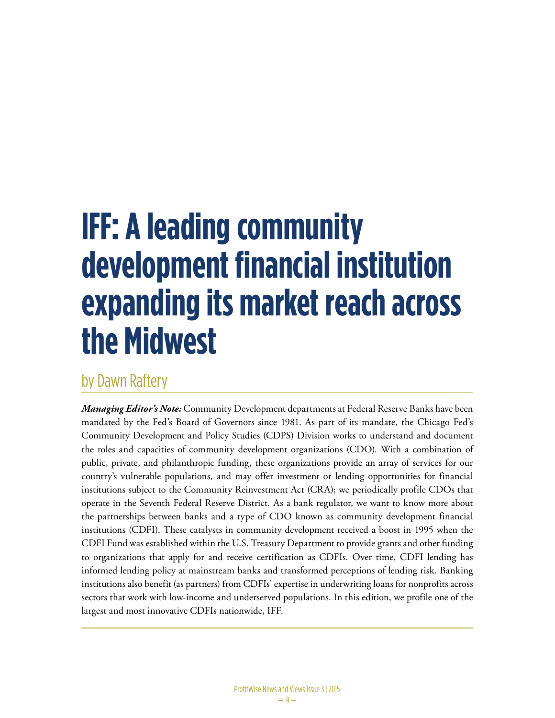## **IFF: A leading community development financial institution expanding its market reach across the Midwest**

## by Dawn Raftery

*Managing Editor's Note:* Community Development departments at Federal Reserve Banks have been mandated by the Fed's Board of Governors since 1981. As part of its mandate, the Chicago Fed's Community Development and Policy Studies (CDPS) Division works to understand and document the roles and capacities of community development organizations (CDO). With a combination of public, private, and philanthropic funding, these organizations provide an array of services for our country's vulnerable populations, and may offer investment or lending opportunities for financial institutions subject to the Community Reinvestment Act (CRA); we periodically profile CDOs that operate in the Seventh Federal Reserve District. As a bank regulator, we want to know more about the partnerships between banks and a type of CDO known as community development financial institutions (CDFI). These catalysts in community development received a boost in 1995 when the CDFI Fund was established within the U.S. Treasury Department to provide grants and other funding to organizations that apply for and receive certification as CDFIs. Over time, CDFI lending has informed lending policy at mainstream banks and transformed perceptions of lending risk. Banking institutions also benefit (as partners) from CDFIs' expertise in underwriting loans for nonprofits across sectors that work with low-income and underserved populations. In this edition, we profile one of the largest and most innovative CDFIs nationwide, IFF.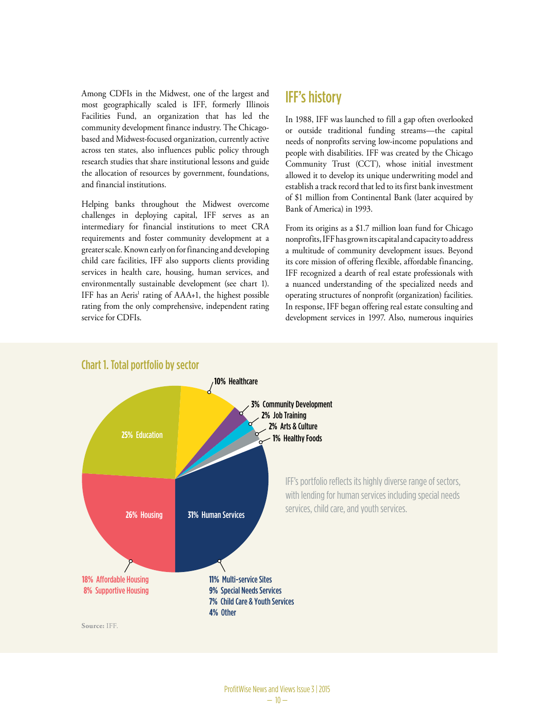Among CDFIs in the Midwest, one of the largest and most geographically scaled is IFF, formerly Illinois Facilities Fund, an organization that has led the In 1988 IFF community development finance industry. The Chicagobased and Midwest-focused organization, currently active across ten states, also influences public policy through research studies that share institutional lessons and guide the allocation of resources by government, foundations, and financial institutions.

Helping banks throughout the Midwest overcome challenges in deploying capital, IFF serves as an intermediary for financial institutions to meet CRA requirements and foster community development at a greater scale. Known early on for financing and developing child care facilities, IFF also supports clients providing services in health care, housing, human services, and environmentally sustainable development (see chart 1). IFF has an Aeris<sup>1</sup> rating of AAA+1, the highest possible rating from the only comprehensive, independent rating service for CDFIs.

### IFF's history

In 1988, IFF was launched to fill a gap often overlooked or outside traditional funding streams—the capital needs of nonprofits serving low-income populations and people with disabilities. IFF was created by the Chicago Community Trust (CCT), whose initial investment **4%** Other allowed it to develop its unique underwriting model and establish a track record that led to its first bank investment of \$1 million from Continental Bank (later acquired by Bank of America) in 1993.

From its origins as a \$1.7 million loan fund for Chicago nonprofits, IFF has grown its capital and capacity to address a multitude of community development issues. Beyond its core mission of offering flexible, affordable financing, IFF recognized a dearth of real estate professionals with a nuanced understanding of the specialized needs and operating structures of nonprofit (organization) facilities. In response, IFF began offering real estate consulting and development services in 1997. Also, numerous inquiries



#### Chart 1. Total portfolio by sector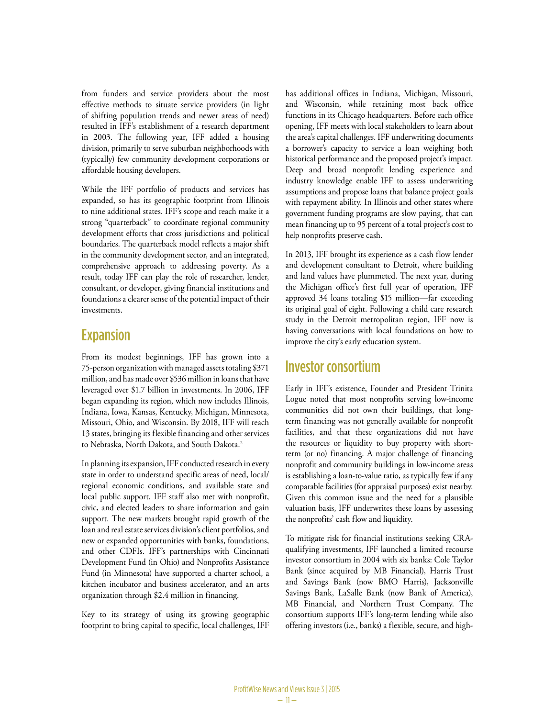from funders and service providers about the most effective methods to situate service providers (in light of shifting population trends and newer areas of need) resulted in IFF's establishment of a research department in 2003. The following year, IFF added a housing division, primarily to serve suburban neighborhoods with (typically) few community development corporations or affordable housing developers.

While the IFF portfolio of products and services has expanded, so has its geographic footprint from Illinois to nine additional states. IFF's scope and reach make it a strong "quarterback" to coordinate regional community development efforts that cross jurisdictions and political boundaries. The quarterback model reflects a major shift in the community development sector, and an integrated, comprehensive approach to addressing poverty. As a result, today IFF can play the role of researcher, lender, consultant, or developer, giving financial institutions and foundations a clearer sense of the potential impact of their investments.

#### Expansion

From its modest beginnings, IFF has grown into a 75-person organization with managed assets totaling \$371 million, and has made over \$536 million in loans that have leveraged over \$1.7 billion in investments. In 2006, IFF began expanding its region, which now includes Illinois, Indiana, Iowa, Kansas, Kentucky, Michigan, Minnesota, Missouri, Ohio, and Wisconsin. By 2018, IFF will reach 13 states, bringing its flexible financing and other services to Nebraska, North Dakota, and South Dakota.<sup>2</sup>

In planning its expansion, IFF conducted research in every state in order to understand specific areas of need, local/ regional economic conditions, and available state and local public support. IFF staff also met with nonprofit, civic, and elected leaders to share information and gain support. The new markets brought rapid growth of the loan and real estate services division's client portfolios, and new or expanded opportunities with banks, foundations, and other CDFIs. IFF's partnerships with Cincinnati Development Fund (in Ohio) and Nonprofits Assistance Fund (in Minnesota) have supported a charter school, a kitchen incubator and business accelerator, and an arts organization through \$2.4 million in financing.

Key to its strategy of using its growing geographic footprint to bring capital to specific, local challenges, IFF has additional offices in Indiana, Michigan, Missouri, and Wisconsin, while retaining most back office functions in its Chicago headquarters. Before each office opening, IFF meets with local stakeholders to learn about the area's capital challenges. IFF underwriting documents a borrower's capacity to service a loan weighing both historical performance and the proposed project's impact. Deep and broad nonprofit lending experience and industry knowledge enable IFF to assess underwriting assumptions and propose loans that balance project goals with repayment ability. In Illinois and other states where government funding programs are slow paying, that can mean financing up to 95 percent of a total project's cost to help nonprofits preserve cash.

In 2013, IFF brought its experience as a cash flow lender and development consultant to Detroit, where building and land values have plummeted. The next year, during the Michigan office's first full year of operation, IFF approved 34 loans totaling \$15 million—far exceeding its original goal of eight. Following a child care research study in the Detroit metropolitan region, IFF now is having conversations with local foundations on how to improve the city's early education system.

#### Investor consortium

Early in IFF's existence, Founder and President Trinita Logue noted that most nonprofits serving low-income communities did not own their buildings, that longterm financing was not generally available for nonprofit facilities, and that these organizations did not have the resources or liquidity to buy property with shortterm (or no) financing. A major challenge of financing nonprofit and community buildings in low-income areas is establishing a loan-to-value ratio, as typically few if any comparable facilities (for appraisal purposes) exist nearby. Given this common issue and the need for a plausible valuation basis, IFF underwrites these loans by assessing the nonprofits' cash flow and liquidity.

To mitigate risk for financial institutions seeking CRAqualifying investments, IFF launched a limited recourse investor consortium in 2004 with six banks: Cole Taylor Bank (since acquired by MB Financial), Harris Trust and Savings Bank (now BMO Harris), Jacksonville Savings Bank, LaSalle Bank (now Bank of America), MB Financial, and Northern Trust Company. The consortium supports IFF's long-term lending while also offering investors (i.e., banks) a flexible, secure, and high-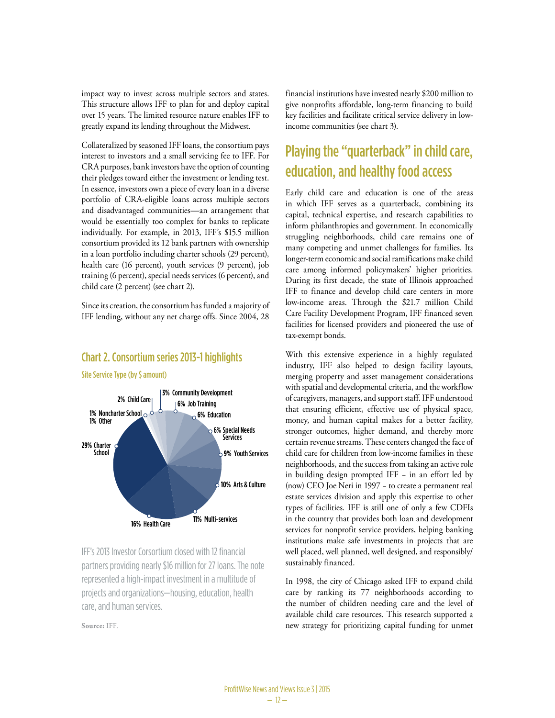impact way to invest across multiple sectors and states. This structure allows IFF to plan for and deploy capital over 15 years. The limited resource nature enables IFF to greatly expand its lending throughout the Midwest.

Collateralized by seasoned IFF loans, the consortium pays interest to investors and a small servicing fee to IFF. For CRA purposes, bank investors have the option of counting their pledges toward either the investment or lending test. In essence, investors own a piece of every loan in a diverse portfolio of CRA-eligible loans across multiple sectors and disadvantaged communities—an arrangement that would be essentially too complex for banks to replicate individually. For example, in 2013, IFF's \$15.5 million consortium provided its 12 bank partners with ownership in a loan portfolio including charter schools (29 percent), health care (16 percent), youth services (9 percent), job training (6 percent), special needs services (6 percent), and child care (2 percent) (see chart 2).

Since its creation, the consortium has funded a majority of IFF lending, without any net charge offs. Since 2004, 28

#### 6% Special Needs **Services 9%** Youth Services **10%** Arts & Culture **11%** Multi-services **29%** Charter **School 1%** Noncharter School **1%** Other **2%** Child Care **3%** Community Development **6%** Job Training

Site Service Type (by \$ amount)

Chart 2. Consortium series 2013-1 highlights

projects and organizations—housing, education, health IFF's 2013 Investor Corsortium closed with 12 financial partners providing nearly \$16 million for 27 loans. The note represented a high-impact investment in a multitude of care, and human services.

**Source:** IFF.

financial institutions have invested nearly \$200 million to give nonprofits affordable, long-term financing to build key facilities and facilitate critical service delivery in lowincome communities (see chart 3).

## Playing the "quarterback" in child care, education, and healthy food access

Early child care and education is one of the areas in which IFF serves as a quarterback, combining its capital, technical expertise, and research capabilities to inform philanthropies and government. In economically struggling neighborhoods, child care remains one of many competing and unmet challenges for families. Its longer-term economic and social ramifications make child care among informed policymakers' higher priorities. During its first decade, the state of Illinois approached IFF to finance and develop child care centers in more low-income areas. Through the \$21.7 million Child Care Facility Development Program, IFF financed seven facilities for licensed providers and pioneered the use of tax-exempt bonds.

With this extensive experience in a highly regulated industry, IFF also helped to design facility layouts, merging property and asset management considerations with spatial and developmental criteria, and the workflow with spatial and developmental enteria, and the workhow<br>of caregivers, managers, and support staff. IFF understood <sup>1.4</sup> That ensuring efficient, effective use of physical space,  $\frac{1}{2}$ money, and human capital makes for a better facility, stronger outcomes, higher demand, and thereby more certain revenue streams. These centers changed the face of child care for children from low-income families in these neighborhoods, and the success from taking an active role in building design prompted IFF − in an effort led by (now) CEO Joe Neri in 1997 − to create a permanent real estate services division and apply this expertise to other types of facilities. IFF is still one of only a few CDFIs in the country that provides both loan and development services for nonprofit service providers, helping banking institutions make safe investments in projects that are well placed, well planned, well designed, and responsibly/ sustainably financed. Protection **Protection** 

> In 1998, the city of Chicago asked IFF to expand child care by ranking its 77 neighborhoods according to the number of children needing care and the level of available child care resources. This research supported a new strategy for prioritizing capital funding for unmet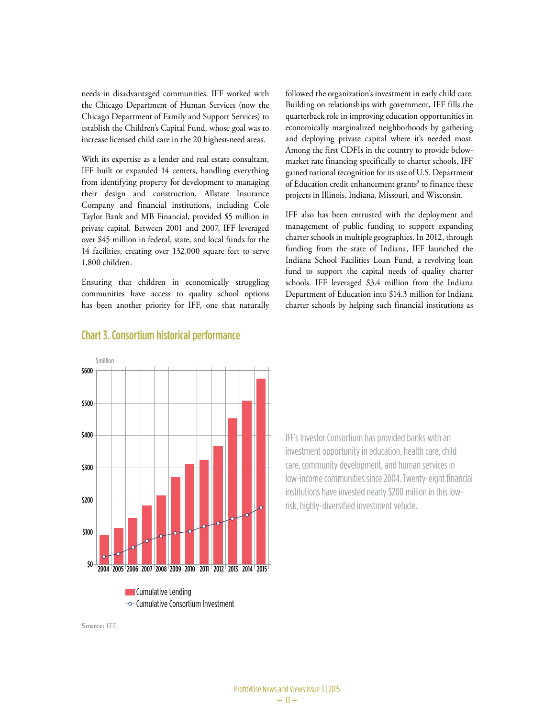needs in disadvantaged communities. IFF worked with the Chicago Department of Human Services (now the Chicago Department of Family and Support Services) to establish the Children's Capital Fund, whose goal was to increase licensed child care in the 20 highest-need areas.

With its expertise as a lender and real estate consultant, IFF built or expanded 14 centers, handling everything from identifying property for development to managing their design and construction. Allstate Insurance Company and financial institutions, including Cole Taylor Bank and MB Financial, provided \$5 million in private capital. Between 2001 and 2007, IFF leveraged over \$45 million in federal, state, and local funds for the 14 facilities, creating over 132,000 square feet to serve 1,800 children.

Ensuring that children in economically struggling communities have access to quality school options has been another priority for IFF, one that naturally followed the organization's investment in early child care. Building on relationships with government, IFF fills the quarterback role in improving education opportunities in economically marginalized neighborhoods by gathering and deploying private capital where it's needed most. Among the first CDFIs in the country to provide belowmarket rate financing specifically to charter schools, IFF gained national recognition for its use of U.S. Department of Education credit enhancement grants<sup>3</sup> to finance these projects in Illinois, Indiana, Missouri, and Wisconsin.

IFF also has been entrusted with the deployment and management of public funding to support expanding charter schools in multiple geographies. In 2012, through funding from the state of Indiana, IFF launched the Indiana School Facilities Loan Fund, a revolving loan fund to support the capital needs of quality charter schools. IFF leveraged \$3.4 million from the Indiana Department of Education into \$14.3 million for Indiana charter schools by helping such financial institutions as



#### Chart 3. Consortium historical performance

IFF's Investor Consortium has provided banks with an investment opportunity in education, health care, child care, community development, and human services in low-income communities since 2004. Twenty-eight financial institutions have invested nearly \$200 million in this lowrisk, highly-diversified investment vehicle.

**Source:** IFF.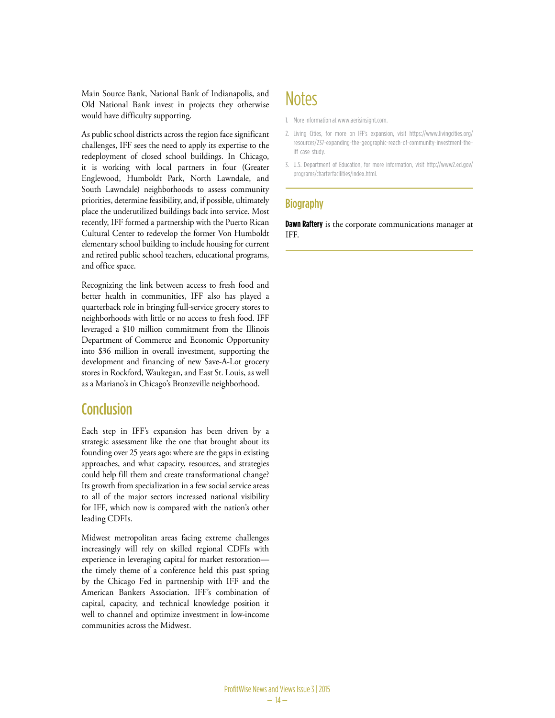Main Source Bank, National Bank of Indianapolis, and Old National Bank invest in projects they otherwise would have difficulty supporting.

As public school districts across the region face significant challenges, IFF sees the need to apply its expertise to the redeployment of closed school buildings. In Chicago, it is working with local partners in four (Greater Englewood, Humboldt Park, North Lawndale, and South Lawndale) neighborhoods to assess community priorities, determine feasibility, and, if possible, ultimately place the underutilized buildings back into service. Most recently, IFF formed a partnership with the Puerto Rican Cultural Center to redevelop the former Von Humboldt elementary school building to include housing for current and retired public school teachers, educational programs, and office space.

Recognizing the link between access to fresh food and better health in communities, IFF also has played a quarterback role in bringing full-service grocery stores to neighborhoods with little or no access to fresh food. IFF leveraged a \$10 million commitment from the Illinois Department of Commerce and Economic Opportunity into \$36 million in overall investment, supporting the development and financing of new Save-A-Lot grocery stores in Rockford, Waukegan, and East St. Louis, as well as a Mariano's in Chicago's Bronzeville neighborhood.

#### **Conclusion**

Each step in IFF's expansion has been driven by a strategic assessment like the one that brought about its founding over 25 years ago: where are the gaps in existing approaches, and what capacity, resources, and strategies could help fill them and create transformational change? Its growth from specialization in a few social service areas to all of the major sectors increased national visibility for IFF, which now is compared with the nation's other leading CDFIs.

Midwest metropolitan areas facing extreme challenges increasingly will rely on skilled regional CDFIs with experience in leveraging capital for market restoration the timely theme of a conference held this past spring by the Chicago Fed in partnership with IFF and the American Bankers Association. IFF's combination of capital, capacity, and technical knowledge position it well to channel and optimize investment in low-income communities across the Midwest.

## **Notes**

- 1. More information at www.aerisinsight.com.
- 2. Living Cities, for more on IFF's expansion, visit https://www.livingcities.org/ resources/237-expanding-the-geographic-reach-of-community-investment-theiff-case-study.
- 3. U.S. Department of Education, for more information, visit http://www2.ed.gov/ programs/charterfacilities/index.html.

#### **Biography**

**Dawn Raftery** is the corporate communications manager at IFF.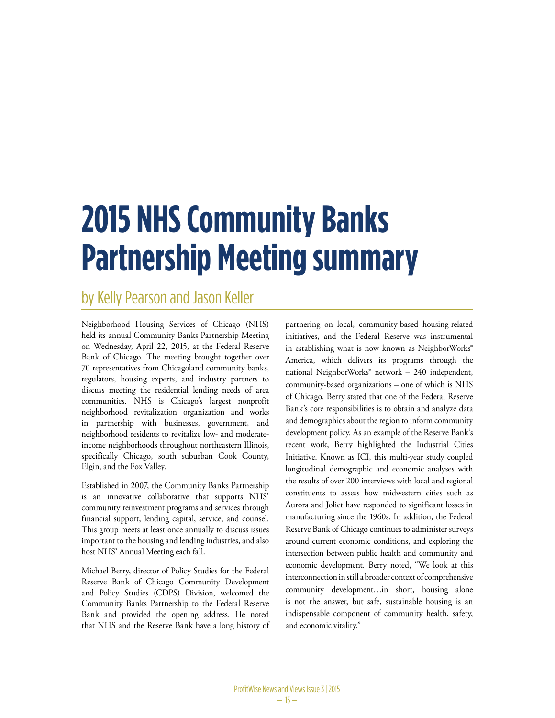# **2015 NHS Community Banks Partnership Meeting summary**

## by Kelly Pearson and Jason Keller

Neighborhood Housing Services of Chicago (NHS) held its annual Community Banks Partnership Meeting on Wednesday, April 22, 2015, at the Federal Reserve Bank of Chicago. The meeting brought together over 70 representatives from Chicagoland community banks, regulators, housing experts, and industry partners to discuss meeting the residential lending needs of area communities. NHS is Chicago's largest nonprofit neighborhood revitalization organization and works in partnership with businesses, government, and neighborhood residents to revitalize low- and moderateincome neighborhoods throughout northeastern Illinois, specifically Chicago, south suburban Cook County, Elgin, and the Fox Valley.

Established in 2007, the Community Banks Partnership is an innovative collaborative that supports NHS' community reinvestment programs and services through financial support, lending capital, service, and counsel. This group meets at least once annually to discuss issues important to the housing and lending industries, and also host NHS' Annual Meeting each fall.

Michael Berry, director of Policy Studies for the Federal Reserve Bank of Chicago Community Development and Policy Studies (CDPS) Division, welcomed the Community Banks Partnership to the Federal Reserve Bank and provided the opening address. He noted that NHS and the Reserve Bank have a long history of

partnering on local, community-based housing-related initiatives, and the Federal Reserve was instrumental in establishing what is now known as NeighborWorks® America, which delivers its programs through the national NeighborWorks® network – 240 independent, community-based organizations – one of which is NHS of Chicago. Berry stated that one of the Federal Reserve Bank's core responsibilities is to obtain and analyze data and demographics about the region to inform community development policy. As an example of the Reserve Bank's recent work, Berry highlighted the Industrial Cities Initiative. Known as ICI, this multi-year study coupled longitudinal demographic and economic analyses with the results of over 200 interviews with local and regional constituents to assess how midwestern cities such as Aurora and Joliet have responded to significant losses in manufacturing since the 1960s. In addition, the Federal Reserve Bank of Chicago continues to administer surveys around current economic conditions, and exploring the intersection between public health and community and economic development. Berry noted, "We look at this interconnection in still a broader context of comprehensive community development…in short, housing alone is not the answer, but safe, sustainable housing is an indispensable component of community health, safety, and economic vitality."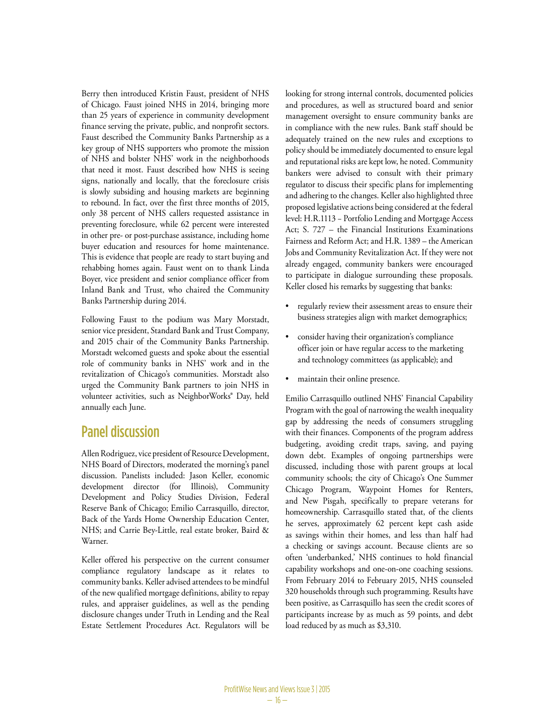Berry then introduced Kristin Faust, president of NHS of Chicago. Faust joined NHS in 2014, bringing more than 25 years of experience in community development finance serving the private, public, and nonprofit sectors. Faust described the Community Banks Partnership as a key group of NHS supporters who promote the mission of NHS and bolster NHS' work in the neighborhoods that need it most. Faust described how NHS is seeing signs, nationally and locally, that the foreclosure crisis is slowly subsiding and housing markets are beginning to rebound. In fact, over the first three months of 2015, only 38 percent of NHS callers requested assistance in preventing foreclosure, while 62 percent were interested in other pre- or post-purchase assistance, including home buyer education and resources for home maintenance. This is evidence that people are ready to start buying and rehabbing homes again. Faust went on to thank Linda Boyer, vice president and senior compliance officer from Inland Bank and Trust, who chaired the Community Banks Partnership during 2014.

Following Faust to the podium was Mary Morstadt, senior vice president, Standard Bank and Trust Company, and 2015 chair of the Community Banks Partnership. Morstadt welcomed guests and spoke about the essential role of community banks in NHS' work and in the revitalization of Chicago's communities. Morstadt also urged the Community Bank partners to join NHS in volunteer activities, such as NeighborWorks® Day, held annually each June.

#### Panel discussion

Allen Rodriguez, vice president of Resource Development, NHS Board of Directors, moderated the morning's panel discussion. Panelists included: Jason Keller, economic development director (for Illinois), Community Development and Policy Studies Division, Federal Reserve Bank of Chicago; Emilio Carrasquillo, director, Back of the Yards Home Ownership Education Center, NHS; and Carrie Bey-Little, real estate broker, Baird & Warner.

Keller offered his perspective on the current consumer compliance regulatory landscape as it relates to community banks. Keller advised attendees to be mindful of the new qualified mortgage definitions, ability to repay rules, and appraiser guidelines, as well as the pending disclosure changes under Truth in Lending and the Real Estate Settlement Procedures Act. Regulators will be looking for strong internal controls, documented policies and procedures, as well as structured board and senior management oversight to ensure community banks are in compliance with the new rules. Bank staff should be adequately trained on the new rules and exceptions to policy should be immediately documented to ensure legal and reputational risks are kept low, he noted. Community bankers were advised to consult with their primary regulator to discuss their specific plans for implementing and adhering to the changes. Keller also highlighted three proposed legislative actions being considered at the federal level: H.R.1113 − Portfolio Lending and Mortgage Access Act; S. 727 – the Financial Institutions Examinations Fairness and Reform Act; and H.R. 1389 – the American Jobs and Community Revitalization Act. If they were not already engaged, community bankers were encouraged to participate in dialogue surrounding these proposals. Keller closed his remarks by suggesting that banks:

- regularly review their assessment areas to ensure their business strategies align with market demographics;
- consider having their organization's compliance officer join or have regular access to the marketing and technology committees (as applicable); and
- maintain their online presence.

Emilio Carrasquillo outlined NHS' Financial Capability Program with the goal of narrowing the wealth inequality gap by addressing the needs of consumers struggling with their finances. Components of the program address budgeting, avoiding credit traps, saving, and paying down debt. Examples of ongoing partnerships were discussed, including those with parent groups at local community schools; the city of Chicago's One Summer Chicago Program, Waypoint Homes for Renters, and New Pisgah, specifically to prepare veterans for homeownership. Carrasquillo stated that, of the clients he serves, approximately 62 percent kept cash aside as savings within their homes, and less than half had a checking or savings account. Because clients are so often 'underbanked,' NHS continues to hold financial capability workshops and one-on-one coaching sessions. From February 2014 to February 2015, NHS counseled 320 households through such programming. Results have been positive, as Carrasquillo has seen the credit scores of participants increase by as much as 59 points, and debt load reduced by as much as \$3,310.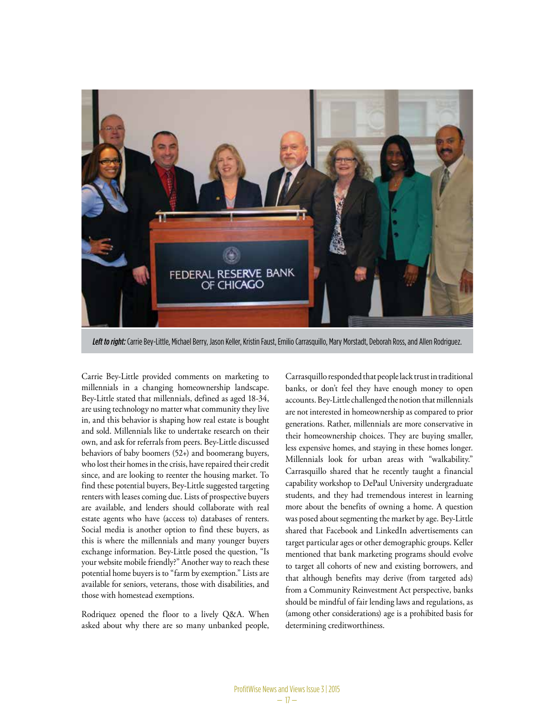

*Left to right:* Carrie Bey-Little, Michael Berry, Jason Keller, Kristin Faust, Emilio Carrasquillo, Mary Morstadt, Deborah Ross, and Allen Rodriguez.

Carrie Bey-Little provided comments on marketing to millennials in a changing homeownership landscape. Bey-Little stated that millennials, defined as aged 18-34, are using technology no matter what community they live in, and this behavior is shaping how real estate is bought and sold. Millennials like to undertake research on their own, and ask for referrals from peers. Bey-Little discussed behaviors of baby boomers (52+) and boomerang buyers, who lost their homes in the crisis, have repaired their credit since, and are looking to reenter the housing market. To find these potential buyers, Bey-Little suggested targeting renters with leases coming due. Lists of prospective buyers are available, and lenders should collaborate with real estate agents who have (access to) databases of renters. Social media is another option to find these buyers, as this is where the millennials and many younger buyers exchange information. Bey-Little posed the question, "Is your website mobile friendly?" Another way to reach these potential home buyers is to "farm by exemption." Lists are available for seniors, veterans, those with disabilities, and those with homestead exemptions.

Rodriquez opened the floor to a lively Q&A. When asked about why there are so many unbanked people,

Carrasquillo responded that people lack trust in traditional banks, or don't feel they have enough money to open accounts. Bey-Little challenged the notion that millennials are not interested in homeownership as compared to prior generations. Rather, millennials are more conservative in their homeownership choices. They are buying smaller, less expensive homes, and staying in these homes longer. Millennials look for urban areas with "walkability." Carrasquillo shared that he recently taught a financial capability workshop to DePaul University undergraduate students, and they had tremendous interest in learning more about the benefits of owning a home. A question was posed about segmenting the market by age. Bey-Little shared that Facebook and LinkedIn advertisements can target particular ages or other demographic groups. Keller mentioned that bank marketing programs should evolve to target all cohorts of new and existing borrowers, and that although benefits may derive (from targeted ads) from a Community Reinvestment Act perspective, banks should be mindful of fair lending laws and regulations, as (among other considerations) age is a prohibited basis for determining creditworthiness.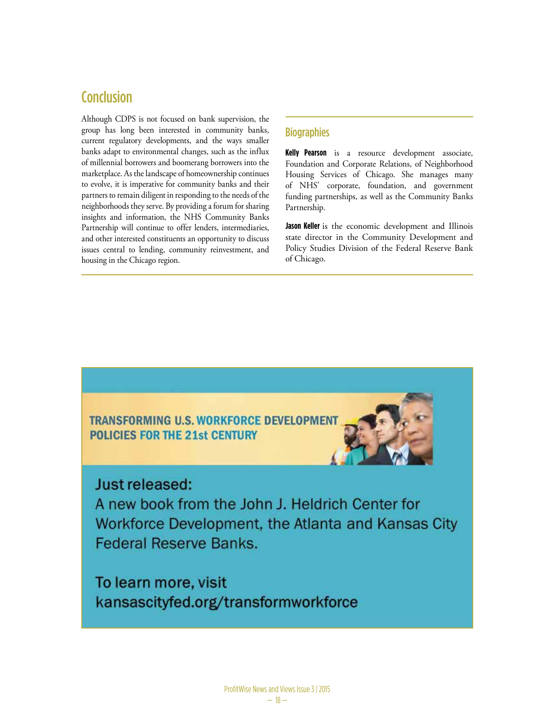#### **Conclusion**

Although CDPS is not focused on bank supervision, the group has long been interested in community banks, current regulatory developments, and the ways smaller banks adapt to environmental changes, such as the influx of millennial borrowers and boomerang borrowers into the marketplace. As the landscape of homeownership continues to evolve, it is imperative for community banks and their partners to remain diligent in responding to the needs of the neighborhoods they serve. By providing a forum for sharing insights and information, the NHS Community Banks Partnership will continue to offer lenders, intermediaries, and other interested constituents an opportunity to discuss issues central to lending, community reinvestment, and housing in the Chicago region.

#### **Biographies**

**Kelly Pearson** is a resource development associate, Foundation and Corporate Relations, of Neighborhood Housing Services of Chicago. She manages many of NHS' corporate, foundation, and government funding partnerships, as well as the Community Banks Partnership.

**Jason Keller** is the economic development and Illinois state director in the Community Development and Policy Studies Division of the Federal Reserve Bank of Chicago.



#### Just released:

A new book from the John J. Heldrich Center for Workforce Development, the Atlanta and Kansas City **Federal Reserve Banks.** 

To learn more, visit kansascityfed.org/transformworkforce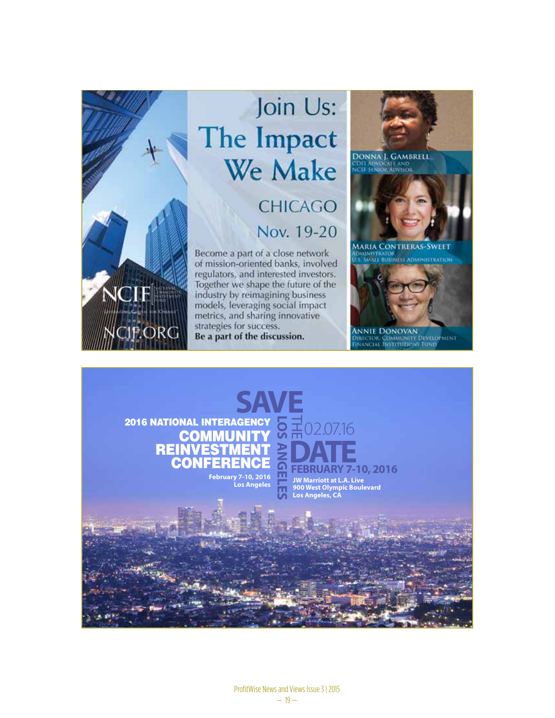

## Join Us: The Impact **We Make CHICAGO**

## Nov. 19-20

Become a part of a close network of mission-oriented banks, involved regulators, and interested investors. Together we shape the future of the industry by reimagining business models, leveraging social impact metrics, and sharing innovative. strategies for success. Be a part of the discussion.





ANNIE DONOVAN<br>Director Community Development<br>Financial Institutions Fund